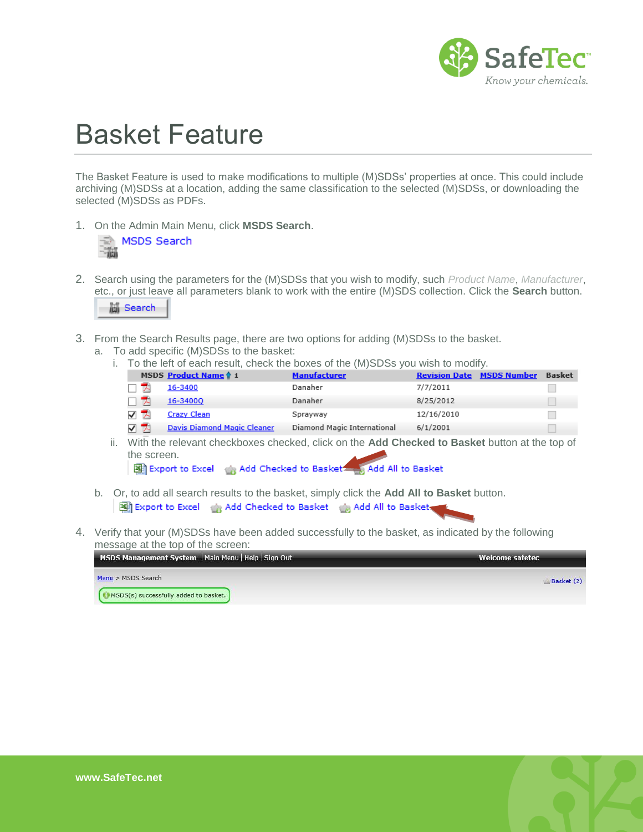

## Basket Feature

The Basket Feature is used to make modifications to multiple (M)SDSs' properties at once. This could include archiving (M)SDSs at a location, adding the same classification to the selected (M)SDSs, or downloading the selected (M)SDSs as PDFs.

1. On the Admin Main Menu, click **MSDS Search**.



2. Search using the parameters for the (M)SDSs that you wish to modify, such *Product Name*, *Manufacturer*, etc., or just leave all parameters blank to work with the entire (M)SDS collection. Click the **Search** button.



- 3. From the Search Results page, there are two options for adding (M)SDSs to the basket.
	- a. To add specific (M)SDSs to the basket:
		- i. To the left of each result, check the boxes of the (M)SDSs you wish to modify.

| MSDS Product Name 1          | <b>Manufacturer</b>         |            | <b>Revision Date MSDS Number</b> | <b>Basket</b> |
|------------------------------|-----------------------------|------------|----------------------------------|---------------|
| 16-3400                      | Danaher                     | 7/7/2011   |                                  |               |
| 16-34000                     | Danaher                     | 8/25/2012  |                                  |               |
| <b>Crazy Clean</b>           | Sprayway                    | 12/16/2010 |                                  |               |
| Davis Diamond Magic Cleaner. | Diamond Magic International | 6/1/2001   |                                  |               |

ii. With the relevant checkboxes checked, click on the **Add Checked to Basket** button at the top of the screen.

Export to Excel (e) Add Checked to Basket (e) Add All to Basket

- b. Or, to add all search results to the basket, simply click the **Add All to Basket** button. Export to Excel and Add Checked to Basket and Add All to Basket
- 4. Verify that your (M)SDSs have been added successfully to the basket, as indicated by the following message at the top of the screen:

| MSDS Management System   Main Menu   Help   Sign Out | Welcome safetec |
|------------------------------------------------------|-----------------|
| Menu > MSDS Search                                   | Basket (2)      |
| <b>EMMCDC(c)</b> purposefully added to banket        |                 |